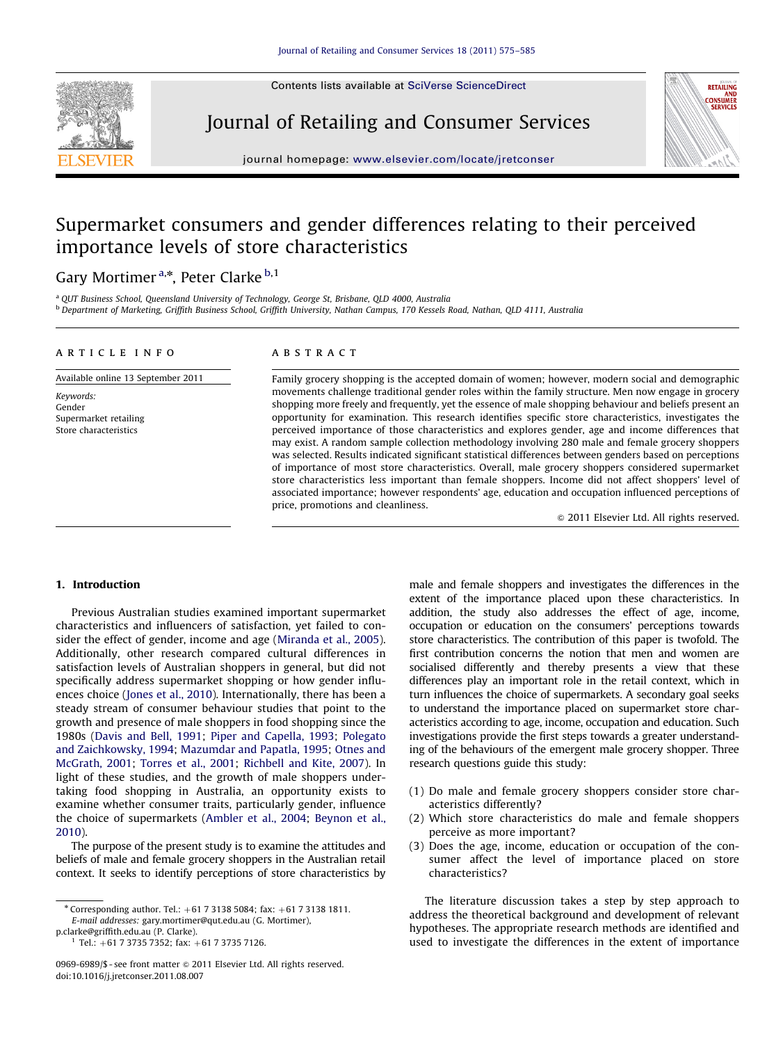Contents lists available at [SciVerse ScienceDirect](www.elsevier.com/locate/jretconser)

# Journal of Retailing and Consumer Services



journal homepage: <www.elsevier.com/locate/jretconser>

# Supermarket consumers and gender differences relating to their perceived importance levels of store characteristics

# Gary Mortimer<sup>a,\*</sup>, Peter Clarke<sup>b,1</sup>

<sup>a</sup> QUT Business School, Queensland University of Technology, George St, Brisbane, QLD 4000, Australia <sup>b</sup> Department of Marketing, Griffith Business School, Griffith University, Nathan Campus, 170 Kessels Road, Nathan, QLD 4111, Australia

### article info

Available online 13 September 2011

Keywords: Gender Supermarket retailing Store characteristics

## ABSTRACT

Family grocery shopping is the accepted domain of women; however, modern social and demographic movements challenge traditional gender roles within the family structure. Men now engage in grocery shopping more freely and frequently, yet the essence of male shopping behaviour and beliefs present an opportunity for examination. This research identifies specific store characteristics, investigates the perceived importance of those characteristics and explores gender, age and income differences that may exist. A random sample collection methodology involving 280 male and female grocery shoppers was selected. Results indicated significant statistical differences between genders based on perceptions of importance of most store characteristics. Overall, male grocery shoppers considered supermarket store characteristics less important than female shoppers. Income did not affect shoppers' level of associated importance; however respondents' age, education and occupation influenced perceptions of price, promotions and cleanliness.

 $© 2011$  Elsevier Ltd. All rights reserved.

## 1. Introduction

Previous Australian studies examined important supermarket characteristics and influencers of satisfaction, yet failed to consider the effect of gender, income and age ([Miranda et al., 2005\)](#page--1-0). Additionally, other research compared cultural differences in satisfaction levels of Australian shoppers in general, but did not specifically address supermarket shopping or how gender influences choice [\(Jones et al., 2010](#page--1-0)). Internationally, there has been a steady stream of consumer behaviour studies that point to the growth and presence of male shoppers in food shopping since the 1980s [\(Davis and Bell, 1991;](#page--1-0) [Piper and Capella, 1993](#page--1-0); [Polegato](#page--1-0) [and Zaichkowsky, 1994](#page--1-0); [Mazumdar and Papatla, 1995;](#page--1-0) [Otnes and](#page--1-0) [McGrath, 2001;](#page--1-0) [Torres et al., 2001;](#page--1-0) [Richbell and Kite, 2007](#page--1-0)). In light of these studies, and the growth of male shoppers undertaking food shopping in Australia, an opportunity exists to examine whether consumer traits, particularly gender, influence the choice of supermarkets ([Ambler et al., 2004](#page--1-0); [Beynon et al.,](#page--1-0) [2010\)](#page--1-0).

The purpose of the present study is to examine the attitudes and beliefs of male and female grocery shoppers in the Australian retail context. It seeks to identify perceptions of store characteristics by

[p.clarke@griffith.edu.au \(P. Clarke\).](mailto:p.clarke@griffith.edu.au)  $1$  Tel.: +61 7 3735 7352; fax: +61 7 3735 7126. male and female shoppers and investigates the differences in the extent of the importance placed upon these characteristics. In addition, the study also addresses the effect of age, income, occupation or education on the consumers' perceptions towards store characteristics. The contribution of this paper is twofold. The first contribution concerns the notion that men and women are socialised differently and thereby presents a view that these differences play an important role in the retail context, which in turn influences the choice of supermarkets. A secondary goal seeks to understand the importance placed on supermarket store characteristics according to age, income, occupation and education. Such investigations provide the first steps towards a greater understanding of the behaviours of the emergent male grocery shopper. Three research questions guide this study:

- (1) Do male and female grocery shoppers consider store characteristics differently?
- (2) Which store characteristics do male and female shoppers perceive as more important?
- (3) Does the age, income, education or occupation of the consumer affect the level of importance placed on store characteristics?

The literature discussion takes a step by step approach to address the theoretical background and development of relevant hypotheses. The appropriate research methods are identified and used to investigate the differences in the extent of importance

 $*$  Corresponding author. Tel.:  $+61731385084$ ; fax:  $+61731381811$ . E-mail addresses: [gary.mortimer@qut.edu.au \(G. Mortimer\)](mailto:gary.mortimer@qut.edu.au),

<sup>0969-6989/\$ -</sup> see front matter  $\odot$  2011 Elsevier Ltd. All rights reserved. doi:[10.1016/j.jretconser.2011.08.007](dx.doi.org/10.1016/j.jretconser.2011.08.007)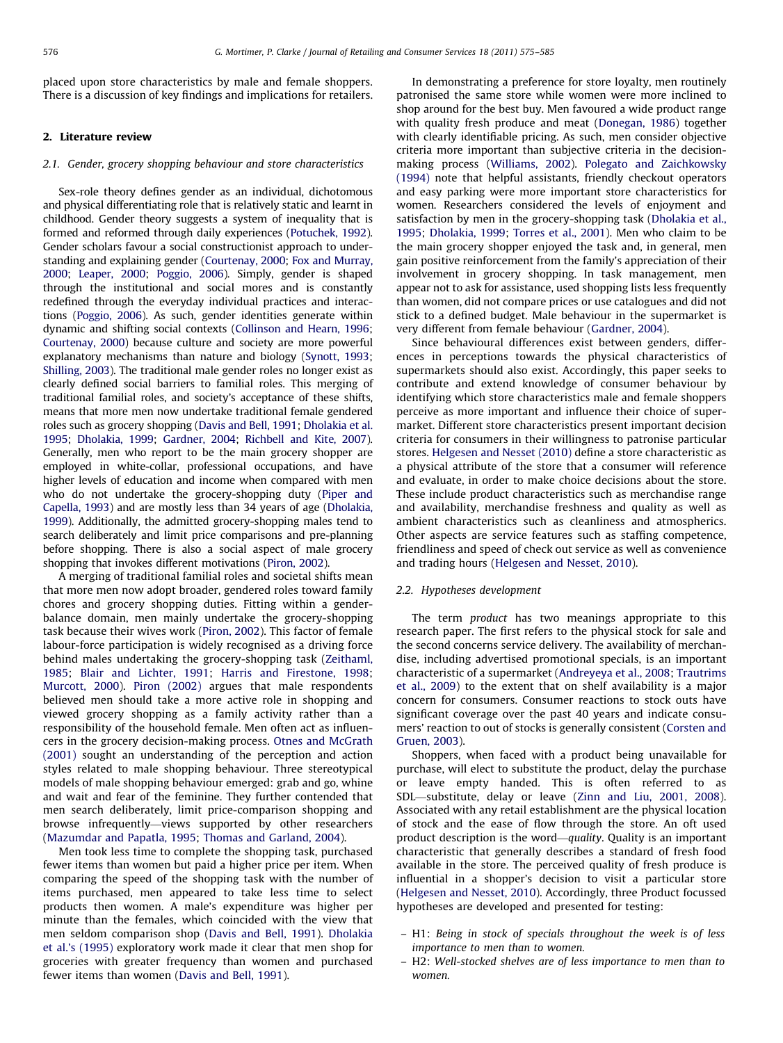placed upon store characteristics by male and female shoppers. There is a discussion of key findings and implications for retailers.

#### 2. Literature review

#### 2.1. Gender, grocery shopping behaviour and store characteristics

Sex-role theory defines gender as an individual, dichotomous and physical differentiating role that is relatively static and learnt in childhood. Gender theory suggests a system of inequality that is formed and reformed through daily experiences [\(Potuchek, 1992\)](#page--1-0). Gender scholars favour a social constructionist approach to understanding and explaining gender [\(Courtenay, 2000](#page--1-0); [Fox and Murray,](#page--1-0) [2000](#page--1-0); [Leaper, 2000;](#page--1-0) [Poggio, 2006](#page--1-0)). Simply, gender is shaped through the institutional and social mores and is constantly redefined through the everyday individual practices and interactions [\(Poggio, 2006\)](#page--1-0). As such, gender identities generate within dynamic and shifting social contexts [\(Collinson and Hearn, 1996;](#page--1-0) [Courtenay, 2000\)](#page--1-0) because culture and society are more powerful explanatory mechanisms than nature and biology [\(Synott, 1993;](#page--1-0) [Shilling, 2003](#page--1-0)). The traditional male gender roles no longer exist as clearly defined social barriers to familial roles. This merging of traditional familial roles, and society's acceptance of these shifts, means that more men now undertake traditional female gendered roles such as grocery shopping [\(Davis and Bell, 1991](#page--1-0); [Dholakia et al.](#page--1-0) [1995;](#page--1-0) [Dholakia, 1999;](#page--1-0) [Gardner, 2004](#page--1-0); [Richbell and Kite, 2007\)](#page--1-0). Generally, men who report to be the main grocery shopper are employed in white-collar, professional occupations, and have higher levels of education and income when compared with men who do not undertake the grocery-shopping duty [\(Piper and](#page--1-0) [Capella, 1993](#page--1-0)) and are mostly less than 34 years of age [\(Dholakia,](#page--1-0) [1999\)](#page--1-0). Additionally, the admitted grocery-shopping males tend to search deliberately and limit price comparisons and pre-planning before shopping. There is also a social aspect of male grocery shopping that invokes different motivations [\(Piron, 2002](#page--1-0)).

A merging of traditional familial roles and societal shifts mean that more men now adopt broader, gendered roles toward family chores and grocery shopping duties. Fitting within a genderbalance domain, men mainly undertake the grocery-shopping task because their wives work [\(Piron, 2002\)](#page--1-0). This factor of female labour-force participation is widely recognised as a driving force behind males undertaking the grocery-shopping task ([Zeithaml,](#page--1-0) [1985](#page--1-0); [Blair and Lichter, 1991](#page--1-0); [Harris and Firestone, 1998;](#page--1-0) [Murcott, 2000\)](#page--1-0). [Piron \(2002\)](#page--1-0) argues that male respondents believed men should take a more active role in shopping and viewed grocery shopping as a family activity rather than a responsibility of the household female. Men often act as influencers in the grocery decision-making process. [Otnes and McGrath](#page--1-0) [\(2001\)](#page--1-0) sought an understanding of the perception and action styles related to male shopping behaviour. Three stereotypical models of male shopping behaviour emerged: grab and go, whine and wait and fear of the feminine. They further contended that men search deliberately, limit price-comparison shopping and browse infrequently—views supported by other researchers ([Mazumdar and Papatla, 1995](#page--1-0); [Thomas and Garland, 2004\)](#page--1-0).

Men took less time to complete the shopping task, purchased fewer items than women but paid a higher price per item. When comparing the speed of the shopping task with the number of items purchased, men appeared to take less time to select products then women. A male's expenditure was higher per minute than the females, which coincided with the view that men seldom comparison shop ([Davis and Bell, 1991](#page--1-0)). [Dholakia](#page--1-0) [et al.'s \(1995\)](#page--1-0) exploratory work made it clear that men shop for groceries with greater frequency than women and purchased fewer items than women [\(Davis and Bell, 1991](#page--1-0)).

In demonstrating a preference for store loyalty, men routinely patronised the same store while women were more inclined to shop around for the best buy. Men favoured a wide product range with quality fresh produce and meat [\(Donegan, 1986\)](#page--1-0) together with clearly identifiable pricing. As such, men consider objective criteria more important than subjective criteria in the decisionmaking process [\(Williams, 2002](#page--1-0)). [Polegato and Zaichkowsky](#page--1-0) [\(1994\)](#page--1-0) note that helpful assistants, friendly checkout operators and easy parking were more important store characteristics for women. Researchers considered the levels of enjoyment and satisfaction by men in the grocery-shopping task ([Dholakia et al.,](#page--1-0) [1995;](#page--1-0) [Dholakia, 1999;](#page--1-0) [Torres et al., 2001\)](#page--1-0). Men who claim to be the main grocery shopper enjoyed the task and, in general, men gain positive reinforcement from the family's appreciation of their involvement in grocery shopping. In task management, men appear not to ask for assistance, used shopping lists less frequently than women, did not compare prices or use catalogues and did not stick to a defined budget. Male behaviour in the supermarket is very different from female behaviour ([Gardner, 2004](#page--1-0)).

Since behavioural differences exist between genders, differences in perceptions towards the physical characteristics of supermarkets should also exist. Accordingly, this paper seeks to contribute and extend knowledge of consumer behaviour by identifying which store characteristics male and female shoppers perceive as more important and influence their choice of supermarket. Different store characteristics present important decision criteria for consumers in their willingness to patronise particular stores. [Helgesen and Nesset \(2010\)](#page--1-0) define a store characteristic as a physical attribute of the store that a consumer will reference and evaluate, in order to make choice decisions about the store. These include product characteristics such as merchandise range and availability, merchandise freshness and quality as well as ambient characteristics such as cleanliness and atmospherics. Other aspects are service features such as staffing competence, friendliness and speed of check out service as well as convenience and trading hours ([Helgesen and Nesset, 2010\)](#page--1-0).

### 2.2. Hypotheses development

The term product has two meanings appropriate to this research paper. The first refers to the physical stock for sale and the second concerns service delivery. The availability of merchandise, including advertised promotional specials, is an important characteristic of a supermarket [\(Andreyeya et al., 2008;](#page--1-0) [Trautrims](#page--1-0) [et al., 2009\)](#page--1-0) to the extent that on shelf availability is a major concern for consumers. Consumer reactions to stock outs have significant coverage over the past 40 years and indicate consumers' reaction to out of stocks is generally consistent [\(Corsten and](#page--1-0) [Gruen, 2003](#page--1-0)).

Shoppers, when faced with a product being unavailable for purchase, will elect to substitute the product, delay the purchase or leave empty handed. This is often referred to as SDL—substitute, delay or leave [\(Zinn and Liu, 2001, 2008\)](#page--1-0). Associated with any retail establishment are the physical location of stock and the ease of flow through the store. An oft used product description is the word—quality. Quality is an important characteristic that generally describes a standard of fresh food available in the store. The perceived quality of fresh produce is influential in a shopper's decision to visit a particular store ([Helgesen and Nesset, 2010\)](#page--1-0). Accordingly, three Product focussed hypotheses are developed and presented for testing:

- H1: Being in stock of specials throughout the week is of less importance to men than to women.
- H2: Well-stocked shelves are of less importance to men than to women.